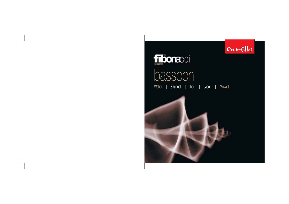



# bassoon Weber | Sauguet | Ibert | Jacob | Mozart

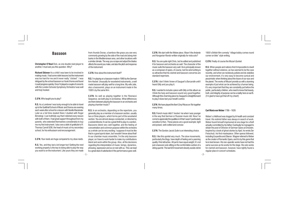## **Bassoon**

**Christopher O'Neal** Dick, as one double reed player to another. I must ask you this question. Why?

**Richard Skinner** As a child I was keen to be involved in making music. I had some violin lessons but the instrument was too hard for me and it never really "clicked". I was intrigued by the school bassoon so I took it home and found I could progress quickly. Once I'd played a couple of concerts with the London Schools Symphony Orchestra I was well and truly hooked.

#### **C.O'N.** Who taught you to play?

**R.S.** As a Londoner I was lucky enough to be able to travel up to the Guildhall School of Music and Drama one evening each week after school for a lesson with Neville Mackinder. Later as a full time student there I studied with Roger Birnstingl. I can truthfully say that I relished every lesson with both of them. I had great support throughout from my parents, who extended themselves considerably to buy me my first instrument. I also owe a debt of gratitude to Fr. Thomas Carroll SDB, the head of music at my secondary school, for his enthusiasm and encouragement.

**C.O'N.** Your reeds are huge compared to my oboe reeds.

**R.S.** Yes, and they last a lot longer too! Getting the reed working properly is the key to being able to play the way you want to on the instrument. Like yours they are made from Arundo Donax, a bamboo-like grass you see very commonly growing by the side of the road and along river banks in the Mediterranean area, and other locations with a similar climate. The way you scrape and adjust the blades affects the sound you make, and also the pitch and response of the instrument.

**C.O'N.** How about the instrument itself?

**R.S.** I'm playing on a bassoon made in 1969 by the German firm Heckel. Unusually for woodwind instruments, a well made bassoon will play well for a long time. My wife Julie, also a bassoonist, plays on an instrument made in the 1930's by the same firm.

**C.O'N.** As well as playing together in the Fibonacci Sequence, we both play in orchestras. What differences are there between playing the bassoon in an orchestra and playing chamber music?

**R.S.** In an orchestra, depending on the repertoire, you generally play as a member of a bassoon section, usually two or three players, which forms part of the woodwind section. You are almost always conducted, or directed by a soloist/director. It can be a great thrill to play in a section. Bassoons blend very well together, and the feeling of concentration and common purpose within the orchestra as a whole can be very exciting. I suppose it must be like that in a good sports team, but I wouldn't know about that! In our chamber music ensemble, I'm the only bassoon player, so I have to work harder to make my contributions blend and work within the group. Also, all the decisions regarding the interpretation of music; tempo, dynamics, phrasing, expression and so on rest with us. This can lead to a great deal of satisfaction if the performance goes well.

**C.O'N.** We start with the Weber piece. Wasn't the *Andante and Hungarian Rondo* written originally for viola solo?

**R.S.** You are quite right Chris, but he edited and published it for bassoon and orchestra as well. The character of the music suits the bassoon very well. He is principally known as a composer of opera, of course, but his wind writing is so attractive that his clarinet and bassoon concertos are standard repertoire.

**C.O'N.** I don't think I knew of Sauguet's *Barcarolle* until I heard Gilly and you play it.

**R.S.** I wanted to include a piece with Gilly on this album as I think the harp and bassoon sound very good together. Although this charming piece by Sauguet is straightforward to play it does test your breath control.

**C.O'N.** We have played the Ibert *Cinq Pièces en Trio* together many times.

**R.S.** French music didn't 'involve' me when I was younger in the way that German or Russian music did. Now I've come to appreciate the qualities in it that I wasn't particularly sensitive to then. These pieces are a good example; light and poised, well crafted and concise

**C.O'N.** The Gordon Jacob *Suite* is an interesting choice.

**R.S.** I like this quintet very much. The slow movements, particularly the *Elegy*, have depth of feeling and a yearning quality I find attractive. All parts have equal weight; it's not just a bassoon solo sitting on the comfortable cushion of a string quartet. The last 6/8 movement cleverly avoids cliché

1950's British film comedy "village bobby comes round corner on bike" style writing.

**C.O'N.** Finally of course the Mozart *Quintet*.

**R.S.** When people and nations find it impossible to dwell together without violence, as has seemed to be the case recently, and when we recklessly pollute and de-stabilize our environment, it's very easy to become cynical and pessimistic when thinking about the future of our race and the planet. The works of Mozart provide us with a stunning example of just what can be achieved by a human being. It's very important that they are constantly put before the public, particularly children, who need to know that beauty, truth, and integrity of purpose can be a reality here on earth. (I'm glad to have got that off my chest!)

#### **Carl Maria von Weber** 1786 – 1826

Weber's childhood was dogged by ill-health and constant travel. His violinist father was always in search of work. Weber found himself imprisoned at one stage for a theft actually committed by his father. Eventually he managed to obtain the post of Director of German Opera at Dresden. Inspired by a book of ghost stories by Apel, he wrote *Der Freischutz*, his first masterpiece. Other operas followed, including *Euryanthe* and *Oberon*. Wagner referred to Weber as the creator of Romantic Opera, and it is by this genre that he is best known. His non-operatic works have not had the same success as his works for the stage. His solo works for clarinet and bassoon, however, have rightly found a regular place in concert schedules.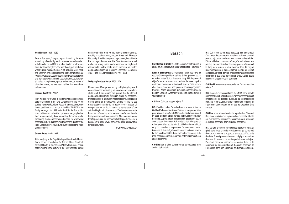**Henri Sauguet** 1901 – 1989

Born in Bordeaux, Sauguet began his working life as an errand boy. Infatuated by music, however, he made contact with Canteloube and Milhaud who directed him towards Paris. While working there as a shorthand typist he studied with Parisian musical figures such as Satie, Max Jacob and Koechlin, and obtained his first opera commission, *Le Plumet du Colonel*. A commission from Diaghilev followed and his career was launched. Despite his output of twentysix ballets, symphonies, operas and numerous pieces of chamber music, he has been neither discovered nor rediscovered.

#### **Jacques Ibert** 1890 – 1962

Ibert worked for a while in the family finance business before he enrolled at the Paris Conservatoire in 1910. His studies there with Fauré and Pessard, among others, were interrupted by naval service in the First World War. He finally emerged in 1919 with the Prix de Rome. His compositions include ballets, operas and six symphonies. Ibert was especially keen on writing for woodwinds, producing many concertos and pieces for woodwind ensemble. In 1946 Ibert assumed the post of Director of the Paris Conservatoire, staying until 1960. He died two years after he retired.

#### **Gordon Jacob** 1895 – 1984

After studying at the Royal College of Music with Hubert Parry, Herbert Howells and Sir Charles Villiers Stamford, he taught briefly at Birkbeck and Morley College in London before returning as a lecturer to the RCM where he stayed until he retired in 1966. He had many eminent students, notably Malcolm Arnold, Imogen Holst and Elizabeth Maconchy. A prolific composer, he produced, in addition to his two symphonies and his *Divertimento* for small orchestra, many solos and concertos for neglected instruments. His text books are an important source for composition teaching, including Orchestral Technique (1931) and The Composer and his Art (1960).

#### **Wolfgang Amadeus Mozart** 1756 – 1791

Mozart toured Europe as a young child giving keyboard concerts and demonstrating his marvelous improvisatory skills, and it was during this period that he started composing. He was still writing music on his deathbed, trying to indicate to his student where notes should be placed on the score of the *Requiem.* During his life he set unsurpassed standards in nearly every aspect of composition. Of particular interest is his elevation of the art of writing for wind instruments. The bassoon seems to have been a favourite, with many wonderful solo lines in the symphonies and piano concertos. A bassoon solo opens the *Requiem*, and his operas are full of opportunities for a bassoonist to enjoy playing some of the finest music written for the instrument.

*© 2005 Richard Skinner*

### **Basson**

**Christopher O'Neal** Dick, entre joueurs d'instruments à anche double, je dois vous poser une question : pourquoi ?

**Richard Skinner** Quand j'étais petit, j'avais très envie de toucher à la composition musicale. J'ai eu quelques cours de violon, mais c'était un instrument trop difficile pour moi et je n'ai jamais vraiment « accroché ». Le basson qu'il y avait dans mon école m'intriguait, alors je l'ai emporté chez moi et je me suis aperçu que je pouvais progresser très vite. Après seulement quelques concerts avec le London Schools Symphony Orchestra, j'étais devenu vraiment accro'.

**C.O'Neal** Qui vous a appris à jouer ?

**R.S.** Etant londonien, j'ai eu la chance de pouvoir aller au Guildhall School of Music and Drama un soir par semaine pour un cours avec Neville Mackinder. Par la suite, quand j'y étais étudiant à plein-temps, j'ai étudié avec Roger Birnstingl. Je peux dire en toute sincérité que chaque cours avec chacun d'entre eux était un réel plaisir. Mes parents <sup>m</sup>'ont apporté leur soutien du début à la fin et ils ont fait tout ce qu'ils pouvaient pour pouvoir m'acheter mon premier instrument. Je suis également très reconnaissant envers Fr. Thomas Carroll SDB, le co-ordonateur de musique de mon école secondaire, pour son enthousiasme et ses encouragements.

**C.O'Neal** Vos anches sont énormes par rapport à mes anches de hautbois.

**R.S.** Oui, et elles durent aussi beaucoup plus longtemps ! C'est avoir des anches qui marchent vraiment bien qui permet de jouer de son instrument comme on le souhaite. Elles sont faites, comme les vôtres, d'arundo donax, une plante qui ressemble au bambou et qui pousse très souvent le long des routes et des rivières dans la région méditerranéenne et dans d'autres régions au climat semblable. La façon dont les lames sont limées et ajustées détermine la qualité du son que l'on produit, ainsi que la hauteur et la réponse de l'instrument.

**C.O'Neal** Pouvez-vous nous parler de l'instrument luimême ?

**R.S.** Je joue sur un basson fabriqué en 1969 par la société allemande Heckel. On peut jouer d'un même basson pendant longtemps s'il est de bonne qualité, ce qui est rare pour les bois. Ma femme, Julie, basson également, joue sur un instrument fabriqué dans les années trente par la même société.

**C.O'Neal** Nous faisons tous les deux partie de la Fibonacci Sequence, mais jouons également en orchestre. Quelle est la différence entre jouer du basson dans un orchestre et dans un ensemble de musique de chambre ?

**R.S.** Dans un orchestre, en fonction du répertoire, on fait en général partie de la section des bassons, qui comprend deux ou trois joueurs la plupart du temps, et qui fait partie des bois. On est presque toujours dirigé par un soliste/ directeur. Jouer dans une section peut être une vraie joie. Plusieurs bassons ensemble se marient bien, et le sentiment de concentration et d'objectif commun de l'orchestre dans son ensemble peut être passionnant.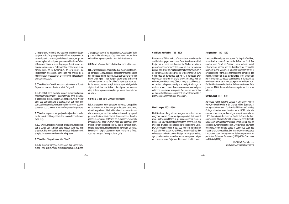J'imagine que c'est la même chose pour une bonne équipe de sport, mais c'est pure spéculation ! Dans notre ensemble de musique de chambre, je suis le seul basson, ce qui me demande plus de travail pour que mes contributions s'allient et fusionnent avec le reste du groupe. Aussi, toutes les décisions concernant l'interprétation de la musique, du mouvement, de la dynamique, de la tournure, de l'expression et caetera, sont entre nos mains. Si la représentation se passe bien, c'est souvent une source de grande satisfaction.

**C.O'Neal** Weber n'avait-il pas composé *Andante et Rondo Ungarese* pour solo de violon alto à l'origine ?

**R.S.** Tout à fait, Chris, mais il l'a révisé et publié pour basson et orchestre également. Le caractère de cette musique <sup>s</sup>'adapte très bien au basson. On connaît surtout Weber pour ses compositions d'opéras, bien sûr, mais ses compositions pour les vents sont tellement belles que ses concertos pour clarinette et basson font partie du répertoire.

**C.O'Neal** Je ne pense pas que j'avais déjà entendu parler de *Barcarolle* de Sauguet avant de vous entendre le jouer avec Gilly.

**R.S.** J'ai voulu inclure un morceau avec Gilly sur cet album car je pense que la harpe et le basson vont très bien ensemble. Bien que ce charmant morceau de Sauguet soit simple, il met vraiment le souffle à l'épreuve.

#### **C.O'Neal** Les *Cinq pièces en trio* d'Ibert?

**R.S.** La musique française n'était pas autant « mon truc » quand j'étais plus jeune que la musique allemande ou russe. J'en apprécie aujourd'hui des qualités auxquelles je n'étais pas sensible à l'époque. Ces morceaux sont un bon échantillon, légers et posés, bien réalisés et concis.

**C.O'Neal** La Gordon Jacob *Suite* est un choix intéressant.

**R.S.** J'aime beaucoup ce quintette. Ses mouvements lents, en particulier l'*Elegy*, possède des sentiments profonds et une tendresse qui me plaisent. Tous les musiciens ont une importance égale ; il ne s'agit pas seulement d'un basson assis sur le coussin confortable d'un quartette à cordes. Le dernier mouvement en 6/8 évite de façon intelligente le style cliché des comédies britanniques des années cinquante du « gendarme anglais qui tourne le coin de rue en vélo ».

**C.O'Neal** Et bien sûr le *Quintette* de Mozart.

**R.S.** A une époque où les gens et les nations sont incapables de co-habiter sans violence, ce qui est le cas en ce moment, et où l'on pollue et déséquilibre l'environnement sans discernement, on peut très facilement devenir cynique et pessimiste vis-à-vis de l'avenir de notre race et de notre planète. Les œuvres de Mozart nous donnent un exemple remarquable de ce qu'un être humain peut accomplir. Il est très important de les exposer au public constamment, surtout aux enfants, qui ont besoin de savoir que la beauté, la vérité et l'intégrité peuvent être une réalité sur la Terre. (Je suis soulagé d'avoir pu placer ça !)

#### **Carl Maria von Weber** 1786 – 1826

L'enfance de Weber ne fut qu'une suite de problèmes de santé et de voyages incessants. Son père violoniste était toujours à la recherche d'un emploi. Weber fut mis en prison à un certain moment de sa vie pour un vol commis par son père. Il finit pourtant par obtenir le poste de directeur de l'Opéra Allemand de Dresde. S'inspirant d'un livre d'histoires de fantômes par Apel, il composa *Der Freischutz*, son premier chef d'œuvre. D'autres opéras suivirent, dont *Euryanthe* et *Oberon*. Wagner qualifia Weber de créateur de l'opéra romantique, et c'est grâce à ce genre qu'il est le plus connu. Ses autres œuvres n'eurent pas autant de succès que ses opéras. Ses œuvres pour solos de clarinette et basson, cependant, trouvent souvent leur place dans les programmes de concert.

#### **Henri Sauguet** 1901 – 1989

Né à Bordeaux, Sauguet commença sa vie active comme garçon de courses. Fou de musique, cependant, il prit contact avec Canteloube et Milhaud qui lui conseillèrent d'aller à Paris. Tout en y travaillant comme sténo-dactylo, il étudia avec des grands personnages parisiens comme Satie, Max Jacob et Koechlin, et obtint sa première commande d'opéra, Le Plumet du Colonel. Une commande de Diaghilev suivit et sa carrière fut lancée. Malgré ses vingt-six ballets, symphonies, opéras et nombreux morceaux pour musique de chambre, on ne l'a jamais découvert ni redécouvert.

#### **Jacques Ibert** 1890 – 1962

Ibert travailla quelques temps pour l'entreprise familiale, avant de s'inscrire au Conservatoire de Paris en 1910. Ses études avec Fauré et Pessard, entre autres, furent interrompues par son service dans la marine pendant la première Guerre Mondiale. Il émergea finalement en 1919 avec le Prix de Rome. Ses compositions comptent des ballets, des opéras et six symphonies. Ibert aimait tout particulièrement composer pour les bois, et il produisit de nombreux concertos et morceaux pour ensemble de bois. En 1946 Ibert assura la direction du Conservatoire de Paris jusqu'en 1960. Il mourut deux ans après avoir pris sa retraite.

#### **Gordon Jacob** 1895 – 1984

Après ses études au Royal College of Music avec Hubert Parry, Herbert Howells et Sir Charles Villiers Stamford, il enseigna brièvement à l'université Birkbeck et à Morley College à Londres avant de retourner au RCM, cette fois comme professeur, où il enseigna jusqu'à sa retraite en 1966. Il enseigna à de nombreux étudiants éminents, dont, entre autres, Malcolm Arnold, Imogen Holst et Elizabeth Maconchy. Compositeur prolifique, il produisit, en plus de ses deux symphonies et de son *Divertimento* pour petit orchestre, de nombreux solos et concertos pour des instruments un peu oubliés. Ses manuels sont une source importante pour l'enseignement de la composition, en particulier Orchestral Technique (1931) et The Composer and his Art (1960).

> *© 2005 Richard Skinner (traduction Florence Grammond)*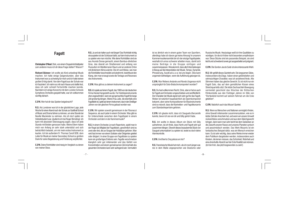## **Fagott**

**Christopher O'Neal:** Dick, von einem Doppelrohrblattpieler zum anderen muss ich dir diese Frage stellen? Warum?

**Richard Skinner:** Ich wollte als Kind unbedingt Musik machen. Ich hatte einige Geigenstunden, aber das Instrument war zu schwierig für mich und ich hatte keinen großen Erfolg damit. Von dem Fagott aus der Schule war ich fasziniert. Ich nahm es mit nach Hause und stellte fest, dass ich sehr schnell Fortschritte machen konnte. Nachdem ich einige Konzerte mit dem London Schools Symphony Orchestra gespielt hatte, war ich vollkommen süchtig danach.

**C.O'N.** Wer hat dir das Spielen beigebracht?

**R.S.** Als Londoner war ich in der glücklichen Lage, jede Woche für einen Abend nach der Schule zur Guildhall School of Music and Drama fahren zu können, um eine Stunde bei Neville Mackinder zu nehmen. Als ich dort später ein Vollzeitstudent war, studierte ich bei Roger Birnstingl. Ich kann mit absoluter Überzeugung sagen, dass ich jede Stunde mit Beiden genossen habe. Meine Eltern haben mich von Anfang an sehr stark unterstützt und sich beträchtlich belastet, um mir mein erstes Instrument zu kaufen. Ich bin außerdem Fr. Thomas Caroll SDB, dem Leiter für Musik an meiner Secondary School zu großem Dank für seine Begeisterung und Förderung verpflichtet.

**C.O'N.** Deine Rohrblätter sind riesig im Vergleich zu denen von meiner Oboe.

**R.S.** Ja und sie halten auch viel länger! Das Rohrblatt richtig einzuspielen ist der Schlüssel dafür, auf dem Instrument so zu spielen wie man möchte. Wie deine Rohrblätter sind sie aus Arundo Donax gemacht, einem Bambus-ähnlichen Gras, das überall am Straßenrand und entlang von Flussufern im Mediterranen Raum und an anderen Orten mit ähnlichem Klima wächst. Die Art und Weise, wie man die Rohrblätter beschneidet und abstimmt, beeinflusst den Klang, den man erzeugt sowie die Tonlage und Resonanz des Instruments.

**C.O'N.** Was gibt es zu deinem Instrument zu sagen?

**R.S.** Ich spiele auf einem Fagott, das 1969 von der deutschen Firma Heckel hergestellt wurde. Für Holzblasinstrumente eher ungewöhnlich, kann ein gut gemachtes Fagott für lange Zeit großartig klingen. Meine Frau Julie, die ebenfalls eine Fagottistin ist, spielt auf einem Instrument, das in den Dreißiger Jahren von der gleichen Firma gebaut worden war.

**C.O'N.** Wir spielen sowohl gemeinsam in der Fibonacci Sequence, als auch jeder in einem Orchester. Was gibt es für Unterschiede zwischen dem Fagottspiel in einem Orchester und dem in der Kammermusik?

**R.S.** In einem Orchester, je nach Repertoire, spielt man in der Regel als Mitglied der Fagottisten, gewöhnlich sind es zwei oder drei, die zur Gruppe der Holzbläser gehören. Man wird fast immer von einem Solisten oder Dirigenten geleitet oder dirigiert. In einer Gruppe von Fagottisten zu spielen kann ein großartiges Erlebnis sein. Fagotte verschmelzen klanglich sehr gut miteinander und das Gefühl von Konzentration und einem gemeinsamen Ziel innerhalb des gesamten Orchesters kann sehr aufregend sein. Vermutlich

ist es ähnlich wie in einem guten Team von Sportlern, allerdings habe ich davon gar keine Ahnung! In unserem Kammermusikensemble bin ich der einzige Fagottspieler weshalb ich umso schwerer arbeiten muss, damit sich meine Beiträge in die Gruppe einfügen und zusammenpassen. Hinzukommt, dass alle Entscheidungen in Bezug auf die Interpretation der Musik, Tempo, Dynamik, Phrasierung, Ausdruck u.s.w. bei uns liegen. Dies kann ungemein befriedigen, wenn die Aufführung gelungen ist.

**C.O'N.** War Webers *Andante und Rondo Ungarese* nicht ursprünglich für Solo-Bratsche komponiert worden?

**R.S.** Du hast vollkommen Recht, Chris, aber er hat es auch für Fagott und Orchester umgeschrieben und veröffentlicht. Der Charakter der Musik eignet sich sehr gut für das Fagott. Weber ist natürlich hauptsächlich als Opernkomponist bekannt, aber seine Kompositionen für Blasinstrumente sind so reizvoll, dass die Klarinetten- und Fagottkonzerte zum Standardrepertoire gehören.

**C.O'N.** Ich glaube nicht, dass ich Sauguets *Barcarolle* kannte, bevor ich sie von dir und Gilly gehört habe.

**R.S.** Ich wollte in dieses Album ein Stück mit Gilly aufnehmen, da ich finde, dass Harfe und Fagott sehr gut zusammen klingen. Obwohl dieses bezaubernde Stück von Sauguet unkompliziert zu spielen ist, testet es doch deine Atemkontrolle.

#### **C.O'N.** Und Iberts *Cinq pièces en trio*?

**R.S.** Französische Musik hat mich, als ich noch jünger war, nie in dem Maße angesprochen wie Deutsche oder

Russische Musik. Heutzutage weiß ich ihre Qualitäten zu würdigen, für die ich früher nicht besonders empfindsam war. Diese Stücke sind ein passendes Beispiel, sie sind leicht und schwebend sowie gut ausgearbeitet und prägnant.

**C.O'N.** Die Gordon Jacob *Suite* ist eine interessante Wahl.

**R.S.** Mir gefällt dieses Quintett sehr. Die langsamen Sätze, insbesondere die *Elegy*, haben einen gefühlstiefen und sehnsüchtigen Charakter, was ich anziehend finde. Alle Stimmen haben das gleiche Gewicht. Es ist nicht nur ein Fagott Solo, das auf dem gemütlichen Kissen eines Streichquartetts sitzt. Die letzte Sechsachtel-Bewegung vermeidet geschickt das Klischee der Britischen Filmkomödie aus den Fünfziger Jahren im Stile von "Dorfpolizist kommt auf seinem Fahrrad um die Ecke gefahren".

**C.O'N.** Natürlich auch das Mozart Quintet.

**R.S.** Wenn es Menschen und Nationen unmöglich finden, ohne Gewalt miteinander zusammenzuleben, wie es in letzter Zeit den Anschein hat, und wenn wir unsere Umwelt rücksichtslos verschmutzen und aus dem Gleichgewicht bringen, dann kann man sehr leicht bei dem Gedanken an die Zukunft unserer Rasse und unseres Planeten zynisch und pessimistisch werden. Das Werk Mozarts ist ein fantastisches Beispiel dafür, was ein Mensch erreichen kann. Es ist sehr wichtig, dass seine Werke immer wieder dem Publikum dargeboten werden, insbesondere auch Kindern, die lernen müssen, das Schönheit, Wahrheit und eine ehrenhafte Absicht auf der Erde Realität sein können. (Ich bin froh, das jetzt losgeworden zu sein!)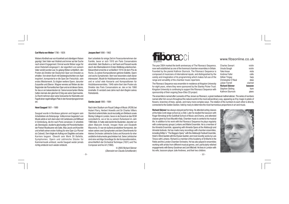Webers Kindheit war von Krankheit und ständigem Reisen geprägt. Sein Vater war Violinist und immer auf der Suche nach einem Engagement. Einmal wurde Weber sogar für einen Diebstahl eingesperrt, der eigentlich von seinem Vater verübt worden war. Es gelang Weber schließlich, den Posten als Direktor der Deutschen Oper von Dresden zu erhalten. Von einem Buch mit Geistergeschichten von Apel inspiriert, komponierte er die Oper *Der Freischütz*, sein erstes Meisterwerk. Es folgten weitere Opern, darunter *Euryanthe* und *Oberon*. Wagner verwies auf Weber als den Begründer der Romantischen Oper und es ist dieses Genre, für das er am bekanntesten ist. Seine konzertanten Werke hatten niemals den gleichen Erfolg wie seine Opernwerke. Zu Recht nehmen aber seine Solowerke für Klarinette und Fagott einen regelmäßigen Platz in den Konzertprogrammen ein.

#### **Henri Sauguet** 1901 – 1989

Sauguet wurde in Bordeaux geboren und begann sein Arbeitsleben als Botenjunge. Vollkommen begeistert von Musik setzte er sich dann aber mit Canteloube und Milhaud in Verbindung, die ihn nach Paris verwiesen. Er arbeitete als Stenotypist, studierte gleichzeitig mit Persönlichkeiten der Pariser Musikszene wie Satie, Max Jacob und Koechlin und erhielt seinen ersten Auftrag für eine Oper (*Le Plumet du Colonel*). Dem folgte ein Auftrag von Diaghilev und seine Karriere begann. Obwohl sein Werk 26 Ballette, Symphonien, Opern und zahlreiche Stücke für Kammermusik umfasst, wurde Sauguet weder jemals richtig entdeckt noch wieder entdeckt.

**Jacques Ibert** 1890 – 1962

Ibert arbeitete für einige Zeit im Finanzunternehmen der Familie, bevor er sich 1910 am Paris Conservatoire einschrieb. Sein Studium u.a. bei Fauré und Pessard wurde durch den Marinedienst im Ersten Weltkrieg unterbrochen. Bekanntheit erreichte er schließlich 1919 mit dem Prix de Rome. Zu seinen Kompositionen gehören Ballette, Opern und sechs Symphonien. Ibert war besonders stark daran interessiert, Musik für Holzblasinstrumente zu schreiben und er schuf viele Konzerte und Kompositionen für Holzbläserensembles. 1946 nahm Ibert den Posten als Direktor des Paris Conservatoire an, den er bis 1960 innehatte. Er verstarb zwei Jahre nach dem Beginn seines Ruhestands.

#### **Gordon Jacob** 1895 – 1984

Nach dem Studium am Royal College of Music (RCM) bei Hubert Parry, Herbert Howells und Sir Charles Villiers Stamford unterrichtete Jacob kurzzeitig am Birkbeck sowie Morley College in London, bevor er als Dozent an das RCM zurückkehrte, wo er bis zu seinem Ruhestand im Jahr 1966 blieb. Er hatte viele berühmte Studenten, darunter vor allem Malcolm Arnold, Imogen Holst und Elizabeth Maconchy. Er war ein äußerst produktiver Komponist, der neben seinen zwei Symphonien und dem Divertimento für kleines Orchester zahlreiche Solos und Konzerte für eher unübliche Instrumente geschrieben hat. Seine Lehrbücher sind eine wichtige Grundlage für die Kompositionslehre, einschließlich der Orchestral Technique (1931) und The Composer and his Art (1960).

> *© 2005 Richard Skinner* (*Übersetzt von Claudia Schottlander*)



The year 2004 marked the tenth anniversary of The Fibonacci Sequence, now well established as one of the foremost chamber ensembles in Britain. Founded by the pianist Kathron Sturrock, The Fibonacci Sequence is composed of musicians of international repute, and distinguished by the variety and imagination of its programming which makes full use of the range and versatility of the chamber music repertoire.

The Fibonacci Sequence was ensemble-in-residence at Kingston University for eight years, where they were sponsored by the Stanley Picker Trust: Kingston University is continuing to support the Fibonacci Sequence with sponsorship of their ongoing Deux-Elles CD project.

The ensemble is named after Leonardo of Pisa, known as Fibonacci, a great mediaeval mathematician. The series of numbers named after him occurs throughout the natural world in the most extraordinary way, appearing as if by magic in petals of flowers, branches of trees, spirals, and many more complex ways. The relation of the numbers to each other is directly connected to the Golden Section, held by many to determine the most harmonious proportions in art and music.

**Richard Skinner** has always enjoyed performing. He attended acting classes at the Italia Conti stage school as a child. Later he studied the bassoon with Roger Birnstingl at the Guildhall School of Music and Drama, and attended classes given by Enzo Mucetti in Italy. Chamber music is central to his musical life. In addition to his work with the Fibonacci Sequence he plays regularly with contemporary groups Lontano and Matrix Ensemble. He is a member of the Almeida Ensemble, appearing with Almeida Opera at the Aldeburgh and Almeida festivals. He has made many recordings with chamber ensembles, including Britten's "The Beggars Opera" with the Aldeburgh Festival Ensemble, Holst's Wind Quintet with the Elysian Quintet, and most recently works by Luis Tinoco with Lontano. Richard is a member of the Academy of St Martin in the Fields and the London Chamber Orchestra. He has also played in ensembles working with artists from different musical genres, and particularly relished engagements with Benny Goodman and Joni Mitchell. He lives in London with his wife, bassoon player Julie Andrews, and their two children.

## www.fibsonline.co.uk

| <b>Charles Sewart</b> | violin   |
|-----------------------|----------|
| Ursula Gough          | violin   |
| Yuko Inoue            | viola    |
| Andrew Fuller         | cello    |
| Gillian Tingay        | harp     |
| Christopher O'Neal    | oboe     |
| Julian Farrell        | clarinet |
| Richard Skinner       | bassoon  |
| Stephen Stirling      | horn     |
| Kathron Sturrock      | piano    |